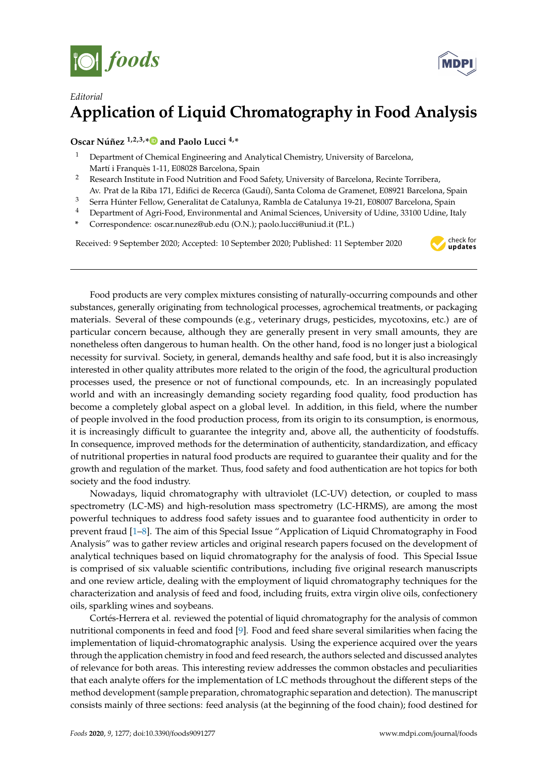



## *Editorial* **Application of Liquid Chromatography in Food Analysis**

**Oscar Núñez 1,2,3,[\\*](https://orcid.org/0000-0001-5850-8972) and Paolo Lucci 4,\***

- <sup>1</sup> Department of Chemical Engineering and Analytical Chemistry, University of Barcelona, Martí i Franquès 1-11, E08028 Barcelona, Spain
- <sup>2</sup> Research Institute in Food Nutrition and Food Safety, University of Barcelona, Recinte Torribera,
- Av. Prat de la Riba 171, Edifici de Recerca (Gaudí), Santa Coloma de Gramenet, E08921 Barcelona, Spain
- <sup>3</sup> Serra Húnter Fellow, Generalitat de Catalunya, Rambla de Catalunya 19-21, E08007 Barcelona, Spain
- <sup>4</sup> Department of Agri-Food, Environmental and Animal Sciences, University of Udine, 33100 Udine, Italy
- **\*** Correspondence: oscar.nunez@ub.edu (O.N.); paolo.lucci@uniud.it (P.L.)

Received: 9 September 2020; Accepted: 10 September 2020; Published: 11 September 2020



Food products are very complex mixtures consisting of naturally-occurring compounds and other substances, generally originating from technological processes, agrochemical treatments, or packaging materials. Several of these compounds (e.g., veterinary drugs, pesticides, mycotoxins, etc.) are of particular concern because, although they are generally present in very small amounts, they are nonetheless often dangerous to human health. On the other hand, food is no longer just a biological necessity for survival. Society, in general, demands healthy and safe food, but it is also increasingly interested in other quality attributes more related to the origin of the food, the agricultural production processes used, the presence or not of functional compounds, etc. In an increasingly populated world and with an increasingly demanding society regarding food quality, food production has become a completely global aspect on a global level. In addition, in this field, where the number of people involved in the food production process, from its origin to its consumption, is enormous, it is increasingly difficult to guarantee the integrity and, above all, the authenticity of foodstuffs. In consequence, improved methods for the determination of authenticity, standardization, and efficacy of nutritional properties in natural food products are required to guarantee their quality and for the growth and regulation of the market. Thus, food safety and food authentication are hot topics for both society and the food industry.

Nowadays, liquid chromatography with ultraviolet (LC-UV) detection, or coupled to mass spectrometry (LC-MS) and high-resolution mass spectrometry (LC-HRMS), are among the most powerful techniques to address food safety issues and to guarantee food authenticity in order to prevent fraud [\[1](#page-2-0)[–8\]](#page-2-1). The aim of this Special Issue "Application of Liquid Chromatography in Food Analysis" was to gather review articles and original research papers focused on the development of analytical techniques based on liquid chromatography for the analysis of food. This Special Issue is comprised of six valuable scientific contributions, including five original research manuscripts and one review article, dealing with the employment of liquid chromatography techniques for the characterization and analysis of feed and food, including fruits, extra virgin olive oils, confectionery oils, sparkling wines and soybeans.

Cortés-Herrera et al. reviewed the potential of liquid chromatography for the analysis of common nutritional components in feed and food [\[9\]](#page-2-2). Food and feed share several similarities when facing the implementation of liquid-chromatographic analysis. Using the experience acquired over the years through the application chemistry in food and feed research, the authors selected and discussed analytes of relevance for both areas. This interesting review addresses the common obstacles and peculiarities that each analyte offers for the implementation of LC methods throughout the different steps of the method development (sample preparation, chromatographic separation and detection). The manuscript consists mainly of three sections: feed analysis (at the beginning of the food chain); food destined for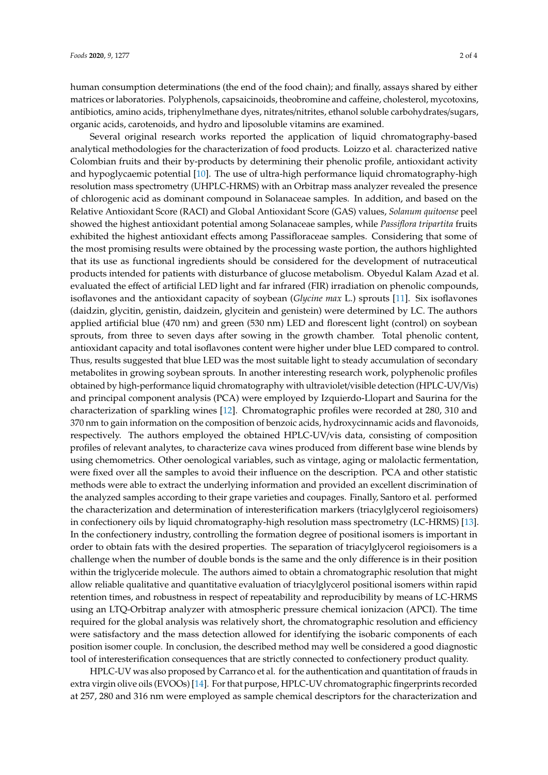human consumption determinations (the end of the food chain); and finally, assays shared by either matrices or laboratories. Polyphenols, capsaicinoids, theobromine and caffeine, cholesterol, mycotoxins, antibiotics, amino acids, triphenylmethane dyes, nitrates/nitrites, ethanol soluble carbohydrates/sugars, organic acids, carotenoids, and hydro and liposoluble vitamins are examined.

Several original research works reported the application of liquid chromatography-based analytical methodologies for the characterization of food products. Loizzo et al. characterized native Colombian fruits and their by-products by determining their phenolic profile, antioxidant activity and hypoglycaemic potential [\[10\]](#page-2-3). The use of ultra-high performance liquid chromatography-high resolution mass spectrometry (UHPLC-HRMS) with an Orbitrap mass analyzer revealed the presence of chlorogenic acid as dominant compound in Solanaceae samples. In addition, and based on the Relative Antioxidant Score (RACI) and Global Antioxidant Score (GAS) values, *Solanum quitoense* peel showed the highest antioxidant potential among Solanaceae samples, while *Passiflora tripartita* fruits exhibited the highest antioxidant effects among Passifloraceae samples. Considering that some of the most promising results were obtained by the processing waste portion, the authors highlighted that its use as functional ingredients should be considered for the development of nutraceutical products intended for patients with disturbance of glucose metabolism. Obyedul Kalam Azad et al. evaluated the effect of artificial LED light and far infrared (FIR) irradiation on phenolic compounds, isoflavones and the antioxidant capacity of soybean (*Glycine max* L.) sprouts [\[11\]](#page-2-4). Six isoflavones (daidzin, glycitin, genistin, daidzein, glycitein and genistein) were determined by LC. The authors applied artificial blue (470 nm) and green (530 nm) LED and florescent light (control) on soybean sprouts, from three to seven days after sowing in the growth chamber. Total phenolic content, antioxidant capacity and total isoflavones content were higher under blue LED compared to control. Thus, results suggested that blue LED was the most suitable light to steady accumulation of secondary metabolites in growing soybean sprouts. In another interesting research work, polyphenolic profiles obtained by high-performance liquid chromatography with ultraviolet/visible detection (HPLC-UV/Vis) and principal component analysis (PCA) were employed by Izquierdo-Llopart and Saurina for the characterization of sparkling wines [\[12\]](#page-2-5). Chromatographic profiles were recorded at 280, 310 and 370 nm to gain information on the composition of benzoic acids, hydroxycinnamic acids and flavonoids, respectively. The authors employed the obtained HPLC-UV/vis data, consisting of composition profiles of relevant analytes, to characterize cava wines produced from different base wine blends by using chemometrics. Other oenological variables, such as vintage, aging or malolactic fermentation, were fixed over all the samples to avoid their influence on the description. PCA and other statistic methods were able to extract the underlying information and provided an excellent discrimination of the analyzed samples according to their grape varieties and coupages. Finally, Santoro et al. performed the characterization and determination of interesterification markers (triacylglycerol regioisomers) in confectionery oils by liquid chromatography-high resolution mass spectrometry (LC-HRMS) [\[13\]](#page-3-0). In the confectionery industry, controlling the formation degree of positional isomers is important in order to obtain fats with the desired properties. The separation of triacylglycerol regioisomers is a challenge when the number of double bonds is the same and the only difference is in their position within the triglyceride molecule. The authors aimed to obtain a chromatographic resolution that might allow reliable qualitative and quantitative evaluation of triacylglycerol positional isomers within rapid retention times, and robustness in respect of repeatability and reproducibility by means of LC-HRMS using an LTQ-Orbitrap analyzer with atmospheric pressure chemical ionizacion (APCI). The time required for the global analysis was relatively short, the chromatographic resolution and efficiency were satisfactory and the mass detection allowed for identifying the isobaric components of each position isomer couple. In conclusion, the described method may well be considered a good diagnostic tool of interesterification consequences that are strictly connected to confectionery product quality.

HPLC-UV was also proposed by Carranco et al. for the authentication and quantitation of frauds in extra virgin olive oils (EVOOs) [\[14\]](#page-3-1). For that purpose, HPLC-UV chromatographic fingerprints recorded at 257, 280 and 316 nm were employed as sample chemical descriptors for the characterization and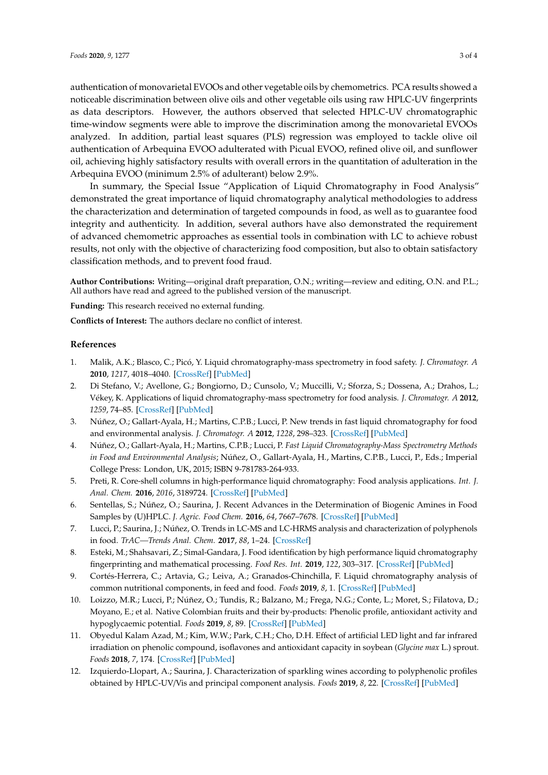authentication of monovarietal EVOOs and other vegetable oils by chemometrics. PCA results showed a noticeable discrimination between olive oils and other vegetable oils using raw HPLC-UV fingerprints as data descriptors. However, the authors observed that selected HPLC-UV chromatographic time-window segments were able to improve the discrimination among the monovarietal EVOOs analyzed. In addition, partial least squares (PLS) regression was employed to tackle olive oil authentication of Arbequina EVOO adulterated with Picual EVOO, refined olive oil, and sunflower oil, achieving highly satisfactory results with overall errors in the quantitation of adulteration in the Arbequina EVOO (minimum 2.5% of adulterant) below 2.9%.

In summary, the Special Issue "Application of Liquid Chromatography in Food Analysis" demonstrated the great importance of liquid chromatography analytical methodologies to address the characterization and determination of targeted compounds in food, as well as to guarantee food integrity and authenticity. In addition, several authors have also demonstrated the requirement of advanced chemometric approaches as essential tools in combination with LC to achieve robust results, not only with the objective of characterizing food composition, but also to obtain satisfactory classification methods, and to prevent food fraud.

**Author Contributions:** Writing—original draft preparation, O.N.; writing—review and editing, O.N. and P.L.; All authors have read and agreed to the published version of the manuscript.

**Funding:** This research received no external funding.

**Conflicts of Interest:** The authors declare no conflict of interest.

## **References**

- <span id="page-2-0"></span>1. Malik, A.K.; Blasco, C.; Picó, Y. Liquid chromatography-mass spectrometry in food safety. *J. Chromatogr. A* **2010**, *1217*, 4018–4040. [\[CrossRef\]](http://dx.doi.org/10.1016/j.chroma.2010.03.015) [\[PubMed\]](http://www.ncbi.nlm.nih.gov/pubmed/20392451)
- 2. Di Stefano, V.; Avellone, G.; Bongiorno, D.; Cunsolo, V.; Muccilli, V.; Sforza, S.; Dossena, A.; Drahos, L.; Vékey, K. Applications of liquid chromatography-mass spectrometry for food analysis. *J. Chromatogr. A* **2012**, *1259*, 74–85. [\[CrossRef\]](http://dx.doi.org/10.1016/j.chroma.2012.04.023) [\[PubMed\]](http://www.ncbi.nlm.nih.gov/pubmed/22560344)
- 3. Núñez, O.; Gallart-Ayala, H.; Martins, C.P.B.; Lucci, P. New trends in fast liquid chromatography for food and environmental analysis. *J. Chromatogr. A* **2012**, *1228*, 298–323. [\[CrossRef\]](http://dx.doi.org/10.1016/j.chroma.2011.10.091) [\[PubMed\]](http://www.ncbi.nlm.nih.gov/pubmed/22153282)
- 4. Núñez, O.; Gallart-Ayala, H.; Martins, C.P.B.; Lucci, P. *Fast Liquid Chromatography-Mass Spectrometry Methods in Food and Environmental Analysis*; Núñez, O., Gallart-Ayala, H., Martins, C.P.B., Lucci, P., Eds.; Imperial College Press: London, UK, 2015; ISBN 9-781783-264-933.
- 5. Preti, R. Core-shell columns in high-performance liquid chromatography: Food analysis applications. *Int. J. Anal. Chem.* **2016**, *2016*, 3189724. [\[CrossRef\]](http://dx.doi.org/10.1155/2016/3189724) [\[PubMed\]](http://www.ncbi.nlm.nih.gov/pubmed/27143972)
- 6. Sentellas, S.; Núñez, O.; Saurina, J. Recent Advances in the Determination of Biogenic Amines in Food Samples by (U)HPLC. *J. Agric. Food Chem.* **2016**, *64*, 7667–7678. [\[CrossRef\]](http://dx.doi.org/10.1021/acs.jafc.6b02789) [\[PubMed\]](http://www.ncbi.nlm.nih.gov/pubmed/27689967)
- 7. Lucci, P.; Saurina, J.; Núñez, O. Trends in LC-MS and LC-HRMS analysis and characterization of polyphenols in food. *TrAC—Trends Anal. Chem.* **2017**, *88*, 1–24. [\[CrossRef\]](http://dx.doi.org/10.1016/j.trac.2016.12.006)
- <span id="page-2-1"></span>8. Esteki, M.; Shahsavari, Z.; Simal-Gandara, J. Food identification by high performance liquid chromatography fingerprinting and mathematical processing. *Food Res. Int.* **2019**, *122*, 303–317. [\[CrossRef\]](http://dx.doi.org/10.1016/j.foodres.2019.04.025) [\[PubMed\]](http://www.ncbi.nlm.nih.gov/pubmed/31229084)
- <span id="page-2-2"></span>9. Cortés-Herrera, C.; Artavia, G.; Leiva, A.; Granados-Chinchilla, F. Liquid chromatography analysis of common nutritional components, in feed and food. *Foods* **2019**, *8*, 1. [\[CrossRef\]](http://dx.doi.org/10.3390/foods8010001) [\[PubMed\]](http://www.ncbi.nlm.nih.gov/pubmed/30577557)
- <span id="page-2-3"></span>10. Loizzo, M.R.; Lucci, P.; Núñez, O.; Tundis, R.; Balzano, M.; Frega, N.G.; Conte, L.; Moret, S.; Filatova, D.; Moyano, E.; et al. Native Colombian fruits and their by-products: Phenolic profile, antioxidant activity and hypoglycaemic potential. *Foods* **2019**, *8*, 89. [\[CrossRef\]](http://dx.doi.org/10.3390/foods8030089) [\[PubMed\]](http://www.ncbi.nlm.nih.gov/pubmed/30832443)
- <span id="page-2-4"></span>11. Obyedul Kalam Azad, M.; Kim, W.W.; Park, C.H.; Cho, D.H. Effect of artificial LED light and far infrared irradiation on phenolic compound, isoflavones and antioxidant capacity in soybean (*Glycine max* L.) sprout. *Foods* **2018**, *7*, 174. [\[CrossRef\]](http://dx.doi.org/10.3390/foods7100174) [\[PubMed\]](http://www.ncbi.nlm.nih.gov/pubmed/30360363)
- <span id="page-2-5"></span>12. Izquierdo-Llopart, A.; Saurina, J. Characterization of sparkling wines according to polyphenolic profiles obtained by HPLC-UV/Vis and principal component analysis. *Foods* **2019**, *8*, 22. [\[CrossRef\]](http://dx.doi.org/10.3390/foods8010022) [\[PubMed\]](http://www.ncbi.nlm.nih.gov/pubmed/30634721)